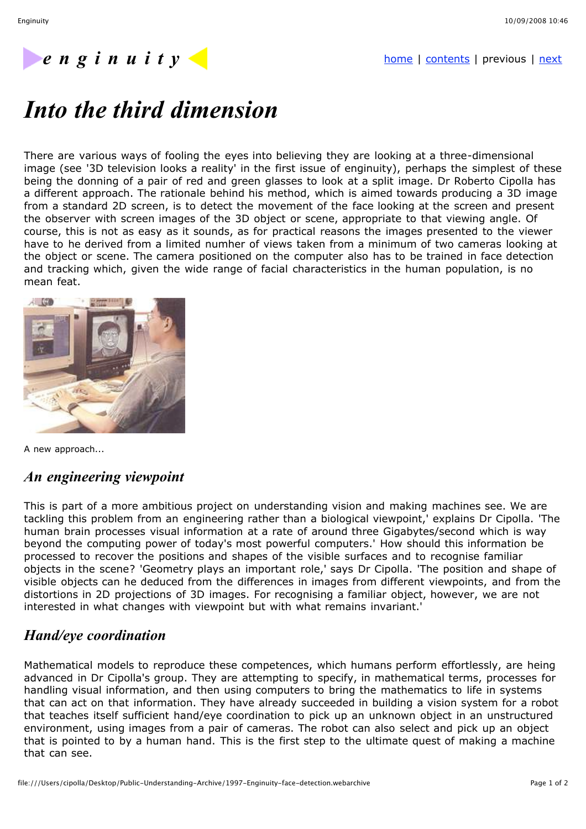## *e* n g i n u i t y

# *Into the third dimension*

There are various ways of fooling the eyes into believing they are looking at a three-dimensional image (see '3D television looks a reality' in the first issue of enginuity), perhaps the simplest of these being the donning of a pair of red and green glasses to look at a split image. Dr Roberto Cipolla has a different approach. The rationale behind his method, which is aimed towards producing a 3D image from a standard 2D screen, is to detect the movement of the face looking at the screen and present the observer with screen images of the 3D object or scene, appropriate to that viewing angle. Of course, this is not as easy as it sounds, as for practical reasons the images presented to the viewer have to he derived from a limited numher of views taken from a minimum of two cameras looking at the object or scene. The camera positioned on the computer also has to be trained in face detection and tracking which, given the wide range of facial characteristics in the human population, is no mean feat.



A new approach...

## *An engineering viewpoint*

This is part of a more ambitious project on understanding vision and making machines see. We are tackling this problem from an engineering rather than a biological viewpoint,' explains Dr Cipolla. 'The human brain processes visual information at a rate of around three Gigabytes/second which is way beyond the computing power of today's most powerful computers.' How should this information be processed to recover the positions and shapes of the visible surfaces and to recognise familiar objects in the scene? 'Geometry plays an important role,' says Dr Cipolla. 'The position and shape of visible objects can he deduced from the differences in images from different viewpoints, and from the distortions in 2D projections of 3D images. For recognising a familiar object, however, we are not interested in what changes with viewpoint but with what remains invariant.'

## *Hand/eye coordination*

Mathematical models to reproduce these competences, which humans perform effortlessly, are heing advanced in Dr Cipolla's group. They are attempting to specify, in mathematical terms, processes for handling visual information, and then using computers to bring the mathematics to life in systems that can act on that information. They have already succeeded in building a vision system for a robot that teaches itself sufficient hand/eye coordination to pick up an unknown object in an unstructured environment, using images from a pair of cameras. The robot can also select and pick up an object that is pointed to by a human hand. This is the first step to the ultimate quest of making a machine that can see.